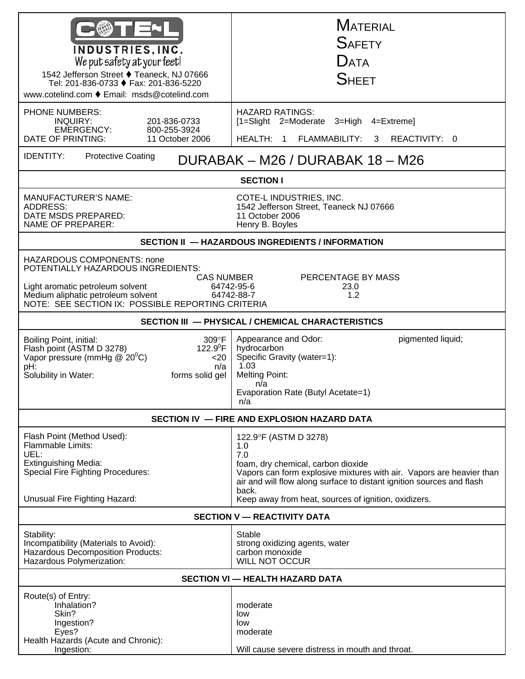| INDUSTRIES, INC.<br>We put safety at your feet!<br>1542 Jefferson Street ♦ Teaneck, NJ 07666<br>Tel: 201-836-0733 ♦ Fax: 201-836-5220<br>www.cotelind.com ♦ Email: msds@cotelind.com                                        | <b>MATERIAL</b><br><b>SAFETY</b><br><b>DATA</b><br><b>SHEET</b>                                                                                                                                                                                                                             |  |
|-----------------------------------------------------------------------------------------------------------------------------------------------------------------------------------------------------------------------------|---------------------------------------------------------------------------------------------------------------------------------------------------------------------------------------------------------------------------------------------------------------------------------------------|--|
| PHONE NUMBERS:<br><b>INQUIRY:</b><br>201-836-0733<br>EMERGENCY:<br>800-255-3924<br>DATE OF PRINTING:<br>11 October 2006                                                                                                     | <b>HAZARD RATINGS:</b><br>[1=Slight 2=Moderate 3=High 4=Extreme]<br>HEALTH: 1 FLAMMABILITY:<br>REACTIVITY: 0<br>3 <sup>1</sup>                                                                                                                                                              |  |
| <b>IDENTITY:</b><br><b>Protective Coating</b><br>DURABAK - M26 / DURABAK 18 - M26                                                                                                                                           |                                                                                                                                                                                                                                                                                             |  |
| <b>SECTION I</b>                                                                                                                                                                                                            |                                                                                                                                                                                                                                                                                             |  |
| <b>MANUFACTURER'S NAME:</b><br><b>ADDRESS:</b><br>DATE MSDS PREPARED:<br><b>NAME OF PREPARER:</b>                                                                                                                           | COTE-L INDUSTRIES, INC.<br>1542 Jefferson Street, Teaneck NJ 07666<br>11 October 2006<br>Henry B. Boyles                                                                                                                                                                                    |  |
| SECTION II - HAZARDOUS INGREDIENTS / INFORMATION                                                                                                                                                                            |                                                                                                                                                                                                                                                                                             |  |
| <b>HAZARDOUS COMPONENTS: none</b><br>POTENTIALLY HAZARDOUS INGREDIENTS:<br><b>CAS NUMBER</b><br>Light aromatic petroleum solvent<br>Medium aliphatic petroleum solvent<br>NOTE: SEE SECTION IX: POSSIBLE REPORTING CRITERIA | PERCENTAGE BY MASS<br>64742-95-6<br>23.0<br>64742-88-7<br>1.2                                                                                                                                                                                                                               |  |
| SECTION III - PHYSICAL / CHEMICAL CHARACTERISTICS                                                                                                                                                                           |                                                                                                                                                                                                                                                                                             |  |
| 309°F<br>Boiling Point, initial:<br>122.9 <sup>0</sup> F<br>Flash point (ASTM D 3278)<br>Vapor pressure (mmHg @ 20°C)<br>$<$ 20<br>pH:<br>n/a<br>Solubility in Water:<br>forms solid gel                                    | Appearance and Odor:<br>pigmented liquid;<br>hydrocarbon<br>Specific Gravity (water=1):<br>1.03<br><b>Melting Point:</b><br>n/a<br>Evaporation Rate (Butyl Acetate=1)<br>n/a                                                                                                                |  |
|                                                                                                                                                                                                                             | SECTION IV - FIRE AND EXPLOSION HAZARD DATA                                                                                                                                                                                                                                                 |  |
| Flash Point (Method Used):<br>Flammable Limits:<br>UEL:<br><b>Extinguishing Media:</b><br><b>Special Fire Fighting Procedures:</b><br>Unusual Fire Fighting Hazard:                                                         | 122.9°F (ASTM D 3278)<br>1.0<br>7.0<br>foam, dry chemical, carbon dioxide<br>Vapors can form explosive mixtures with air. Vapors are heavier than<br>air and will flow along surface to distant ignition sources and flash<br>back.<br>Keep away from heat, sources of ignition, oxidizers. |  |
| <b>SECTION V - REACTIVITY DATA</b>                                                                                                                                                                                          |                                                                                                                                                                                                                                                                                             |  |
| Stability:<br>Incompatibility (Materials to Avoid):<br><b>Hazardous Decomposition Products:</b><br>Hazardous Polymerization:                                                                                                | Stable<br>strong oxidizing agents, water<br>carbon monoxide<br><b>WILL NOT OCCUR</b>                                                                                                                                                                                                        |  |
| <b>SECTION VI - HEALTH HAZARD DATA</b>                                                                                                                                                                                      |                                                                                                                                                                                                                                                                                             |  |
| Route(s) of Entry:<br>Inhalation?<br>Skin?<br>Ingestion?<br>Eyes?<br>Health Hazards (Acute and Chronic):<br>Ingestion:                                                                                                      | moderate<br>low<br>low<br>moderate<br>Will cause severe distress in mouth and throat.                                                                                                                                                                                                       |  |